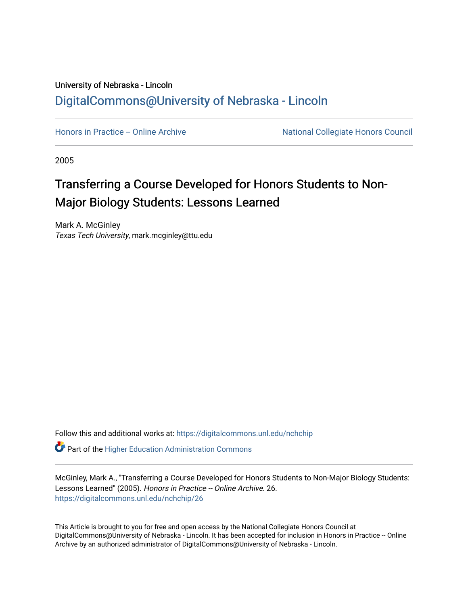# University of Nebraska - Lincoln [DigitalCommons@University of Nebraska - Lincoln](https://digitalcommons.unl.edu/)

[Honors in Practice -- Online Archive](https://digitalcommons.unl.edu/nchchip) National Collegiate Honors Council

2005

# Transferring a Course Developed for Honors Students to Non-Major Biology Students: Lessons Learned

Mark A. McGinley Texas Tech University, mark.mcginley@ttu.edu

Follow this and additional works at: [https://digitalcommons.unl.edu/nchchip](https://digitalcommons.unl.edu/nchchip?utm_source=digitalcommons.unl.edu%2Fnchchip%2F26&utm_medium=PDF&utm_campaign=PDFCoverPages) 

**C** Part of the Higher Education Administration Commons

McGinley, Mark A., "Transferring a Course Developed for Honors Students to Non-Major Biology Students: Lessons Learned" (2005). Honors in Practice -- Online Archive. 26. [https://digitalcommons.unl.edu/nchchip/26](https://digitalcommons.unl.edu/nchchip/26?utm_source=digitalcommons.unl.edu%2Fnchchip%2F26&utm_medium=PDF&utm_campaign=PDFCoverPages) 

This Article is brought to you for free and open access by the National Collegiate Honors Council at DigitalCommons@University of Nebraska - Lincoln. It has been accepted for inclusion in Honors in Practice -- Online Archive by an authorized administrator of DigitalCommons@University of Nebraska - Lincoln.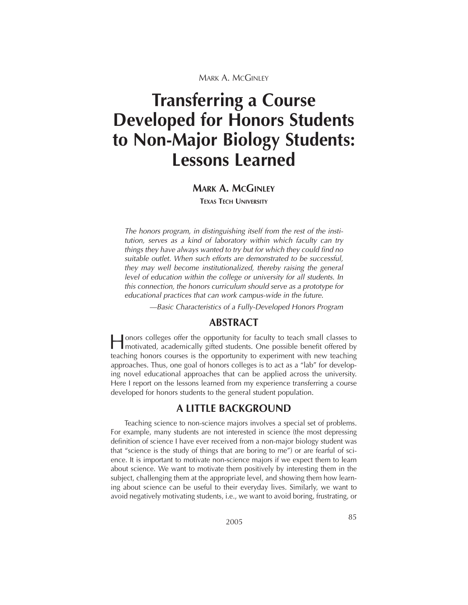# **Transferring a Course Developed for Honors Students to Non-Major Biology Students: Lessons Learned**

#### **MARK A. MCGINLEY**

**TEXAS TECH UNIVERSITY**

*The honors program, in distinguishing itself from the rest of the institution, serves as a kind of laboratory within which faculty can try things they have always wanted to try but for which they could find no suitable outlet. When such efforts are demonstrated to be successful, they may well become institutionalized, thereby raising the general level of education within the college or university for all students. In this connection, the honors curriculum should serve as a prototype for educational practices that can work campus-wide in the future.*

*—Basic Characteristics of a Fully-Developed Honors Program*

### **ABSTRACT**

Honors colleges offer the opportunity for faculty to teach small classes to motivated, academically gifted students. One possible benefit offered by teaching honors courses is the opportunity to experiment with new teaching approaches. Thus, one goal of honors colleges is to act as a "lab" for developing novel educational approaches that can be applied across the university. Here I report on the lessons learned from my experience transferring a course developed for honors students to the general student population.

## **A LITTLE BACKGROUND**

Teaching science to non-science majors involves a special set of problems. For example, many students are not interested in science (the most depressing definition of science I have ever received from a non-major biology student was that "science is the study of things that are boring to me") or are fearful of science. It is important to motivate non-science majors if we expect them to learn about science. We want to motivate them positively by interesting them in the subject, challenging them at the appropriate level, and showing them how learning about science can be useful to their everyday lives. Similarly, we want to avoid negatively motivating students, i.e., we want to avoid boring, frustrating, or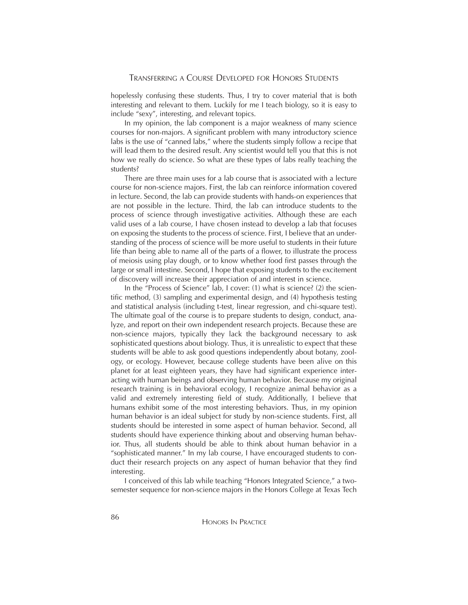hopelessly confusing these students. Thus, I try to cover material that is both interesting and relevant to them. Luckily for me I teach biology, so it is easy to include "sexy", interesting, and relevant topics.

In my opinion, the lab component is a major weakness of many science courses for non-majors. A significant problem with many introductory science labs is the use of "canned labs," where the students simply follow a recipe that will lead them to the desired result. Any scientist would tell you that this is not how we really do science. So what are these types of labs really teaching the students?

There are three main uses for a lab course that is associated with a lecture course for non-science majors. First, the lab can reinforce information covered in lecture. Second, the lab can provide students with hands-on experiences that are not possible in the lecture. Third, the lab can introduce students to the process of science through investigative activities. Although these are each valid uses of a lab course, I have chosen instead to develop a lab that focuses on exposing the students to the process of science. First, I believe that an understanding of the process of science will be more useful to students in their future life than being able to name all of the parts of a flower, to illustrate the process of meiosis using play dough, or to know whether food first passes through the large or small intestine. Second, I hope that exposing students to the excitement of discovery will increase their appreciation of and interest in science.

In the "Process of Science" lab, I cover: (1) what is science? (2) the scientific method, (3) sampling and experimental design, and (4) hypothesis testing and statistical analysis (including t-test, linear regression, and chi-square test). The ultimate goal of the course is to prepare students to design, conduct, analyze, and report on their own independent research projects. Because these are non-science majors, typically they lack the background necessary to ask sophisticated questions about biology. Thus, it is unrealistic to expect that these students will be able to ask good questions independently about botany, zoology, or ecology. However, because college students have been alive on this planet for at least eighteen years, they have had significant experience interacting with human beings and observing human behavior. Because my original research training is in behavioral ecology, I recognize animal behavior as a valid and extremely interesting field of study. Additionally, I believe that humans exhibit some of the most interesting behaviors. Thus, in my opinion human behavior is an ideal subject for study by non-science students. First, all students should be interested in some aspect of human behavior. Second, all students should have experience thinking about and observing human behavior. Thus, all students should be able to think about human behavior in a "sophisticated manner." In my lab course, I have encouraged students to conduct their research projects on any aspect of human behavior that they find interesting.

I conceived of this lab while teaching "Honors Integrated Science," a twosemester sequence for non-science majors in the Honors College at Texas Tech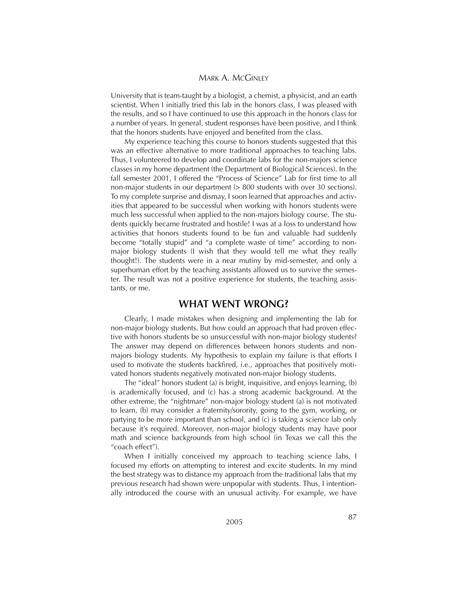University that is team-taught by a biologist, a chemist, a physicist, and an earth scientist. When I initially tried this lab in the honors class, I was pleased with the results, and so I have continued to use this approach in the honors class for a number of years. In general, student responses have been positive, and I think that the honors students have enjoyed and benefited from the class.

My experience teaching this course to honors students suggested that this was an effective alternative to more traditional approaches to teaching labs. Thus, I volunteered to develop and coordinate labs for the non-majors science classes in my home department (the Department of Biological Sciences). In the fall semester 2001, I offered the "Process of Science" Lab for first time to all non-major students in our department (> 800 students with over 30 sections). To my complete surprise and dismay, I soon learned that approaches and activities that appeared to be successful when working with honors students were much less successful when applied to the non-majors biology course. The students quickly became frustrated and hostile! I was at a loss to understand how activities that honors students found to be fun and valuable had suddenly become "totally stupid" and "a complete waste of time" according to nonmajor biology students (I wish that they would tell me what they really thought!). The students were in a near mutiny by mid-semester, and only a superhuman effort by the teaching assistants allowed us to survive the semester. The result was not a positive experience for students, the teaching assistants, or me.

#### **WHAT WENT WRONG?**

Clearly, I made mistakes when designing and implementing the lab for non-major biology students. But how could an approach that had proven effective with honors students be so unsuccessful with non-major biology students? The answer may depend on differences between honors students and nonmajors biology students. My hypothesis to explain my failure is that efforts I used to motivate the students backfired, i.e., approaches that positively motivated honors students negatively motivated non-major biology students.

The "ideal" honors student (a) is bright, inquisitive, and enjoys learning, (b) is academically focused, and (c) has a strong academic background. At the other extreme, the "nightmare" non-major biology student (a) is not motivated to learn, (b) may consider a fraternity/sorority, going to the gym, working, or partying to be more important than school, and (c) is taking a science lab only because it's required. Moreover, non-major biology students may have poor math and science backgrounds from high school (in Texas we call this the "coach effect").

When I initially conceived my approach to teaching science labs, I focused my efforts on attempting to interest and excite students. In my mind the best strategy was to distance my approach from the traditional labs that my previous research had shown were unpopular with students. Thus, I intentionally introduced the course with an unusual activity. For example, we have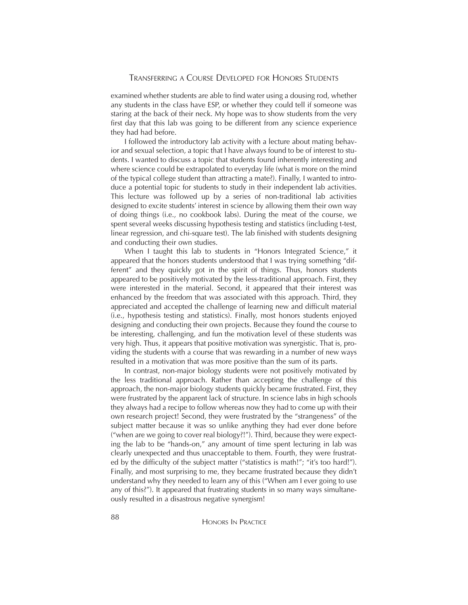examined whether students are able to find water using a dousing rod, whether any students in the class have ESP, or whether they could tell if someone was staring at the back of their neck. My hope was to show students from the very first day that this lab was going to be different from any science experience they had had before.

I followed the introductory lab activity with a lecture about mating behavior and sexual selection, a topic that I have always found to be of interest to students. I wanted to discuss a topic that students found inherently interesting and where science could be extrapolated to everyday life (what is more on the mind of the typical college student than attracting a mate?). Finally, I wanted to introduce a potential topic for students to study in their independent lab activities. This lecture was followed up by a series of non-traditional lab activities designed to excite students' interest in science by allowing them their own way of doing things (i.e., no cookbook labs). During the meat of the course, we spent several weeks discussing hypothesis testing and statistics (including t-test, linear regression, and chi-square test). The lab finished with students designing and conducting their own studies.

When I taught this lab to students in "Honors Integrated Science," it appeared that the honors students understood that I was trying something "different" and they quickly got in the spirit of things. Thus, honors students appeared to be positively motivated by the less-traditional approach. First, they were interested in the material. Second, it appeared that their interest was enhanced by the freedom that was associated with this approach. Third, they appreciated and accepted the challenge of learning new and difficult material (i.e., hypothesis testing and statistics). Finally, most honors students enjoyed designing and conducting their own projects. Because they found the course to be interesting, challenging, and fun the motivation level of these students was very high. Thus, it appears that positive motivation was synergistic. That is, providing the students with a course that was rewarding in a number of new ways resulted in a motivation that was more positive than the sum of its parts.

In contrast, non-major biology students were not positively motivated by the less traditional approach. Rather than accepting the challenge of this approach, the non-major biology students quickly became frustrated. First, they were frustrated by the apparent lack of structure. In science labs in high schools they always had a recipe to follow whereas now they had to come up with their own research project! Second, they were frustrated by the "strangeness" of the subject matter because it was so unlike anything they had ever done before ("when are we going to cover real biology?!"). Third, because they were expecting the lab to be "hands-on," any amount of time spent lecturing in lab was clearly unexpected and thus unacceptable to them. Fourth, they were frustrated by the difficulty of the subject matter ("statistics is math!"; "it's too hard!"). Finally, and most surprising to me, they became frustrated because they didn't understand why they needed to learn any of this ("When am I ever going to use any of this?"). It appeared that frustrating students in so many ways simultaneously resulted in a disastrous negative synergism!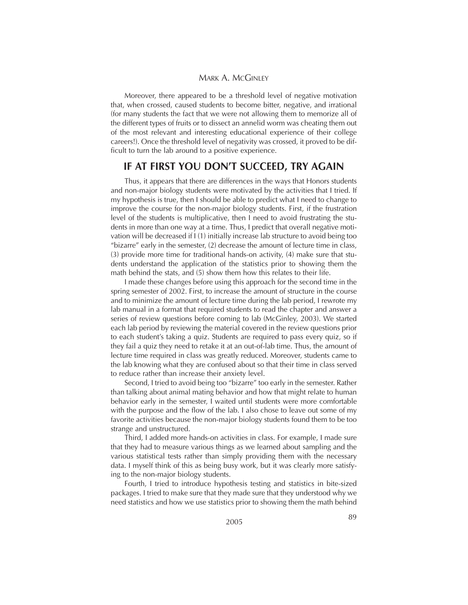Moreover, there appeared to be a threshold level of negative motivation that, when crossed, caused students to become bitter, negative, and irrational (for many students the fact that we were not allowing them to memorize all of the different types of fruits or to dissect an annelid worm was cheating them out of the most relevant and interesting educational experience of their college careers!). Once the threshold level of negativity was crossed, it proved to be difficult to turn the lab around to a positive experience.

#### **IF AT FIRST YOU DON'T SUCCEED, TRY AGAIN**

Thus, it appears that there are differences in the ways that Honors students and non-major biology students were motivated by the activities that I tried. If my hypothesis is true, then I should be able to predict what I need to change to improve the course for the non-major biology students. First, if the frustration level of the students is multiplicative, then I need to avoid frustrating the students in more than one way at a time. Thus, I predict that overall negative motivation will be decreased if I (1) initially increase lab structure to avoid being too "bizarre" early in the semester, (2) decrease the amount of lecture time in class, (3) provide more time for traditional hands-on activity, (4) make sure that students understand the application of the statistics prior to showing them the math behind the stats, and (5) show them how this relates to their life.

I made these changes before using this approach for the second time in the spring semester of 2002. First, to increase the amount of structure in the course and to minimize the amount of lecture time during the lab period, I rewrote my lab manual in a format that required students to read the chapter and answer a series of review questions before coming to lab (McGinley, 2003). We started each lab period by reviewing the material covered in the review questions prior to each student's taking a quiz. Students are required to pass every quiz, so if they fail a quiz they need to retake it at an out-of-lab time. Thus, the amount of lecture time required in class was greatly reduced. Moreover, students came to the lab knowing what they are confused about so that their time in class served to reduce rather than increase their anxiety level.

Second, I tried to avoid being too "bizarre" too early in the semester. Rather than talking about animal mating behavior and how that might relate to human behavior early in the semester, I waited until students were more comfortable with the purpose and the flow of the lab. I also chose to leave out some of my favorite activities because the non-major biology students found them to be too strange and unstructured.

Third, I added more hands-on activities in class. For example, I made sure that they had to measure various things as we learned about sampling and the various statistical tests rather than simply providing them with the necessary data. I myself think of this as being busy work, but it was clearly more satisfying to the non-major biology students.

Fourth, I tried to introduce hypothesis testing and statistics in bite-sized packages. I tried to make sure that they made sure that they understood why we need statistics and how we use statistics prior to showing them the math behind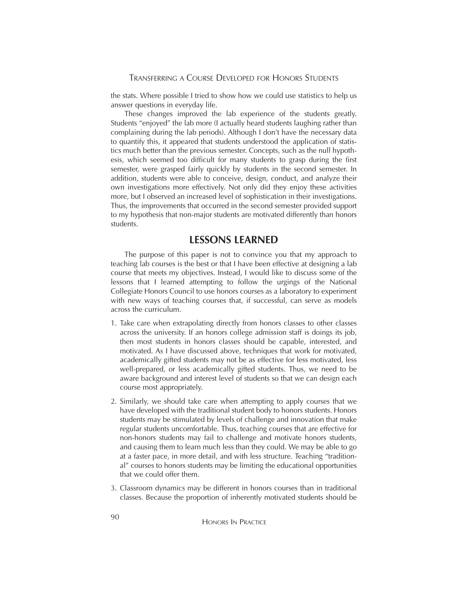the stats. Where possible I tried to show how we could use statistics to help us answer questions in everyday life.

These changes improved the lab experience of the students greatly. Students "enjoyed" the lab more (I actually heard students laughing rather than complaining during the lab periods). Although I don't have the necessary data to quantify this, it appeared that students understood the application of statistics much better than the previous semester. Concepts, such as the null hypothesis, which seemed too difficult for many students to grasp during the first semester, were grasped fairly quickly by students in the second semester. In addition, students were able to conceive, design, conduct, and analyze their own investigations more effectively. Not only did they enjoy these activities more, but I observed an increased level of sophistication in their investigations. Thus, the improvements that occurred in the second semester provided support to my hypothesis that non-major students are motivated differently than honors students.

## **LESSONS LEARNED**

The purpose of this paper is not to convince you that my approach to teaching lab courses is the best or that I have been effective at designing a lab course that meets my objectives. Instead, I would like to discuss some of the lessons that I learned attempting to follow the urgings of the National Collegiate Honors Council to use honors courses as a laboratory to experiment with new ways of teaching courses that, if successful, can serve as models across the curriculum.

- 1. Take care when extrapolating directly from honors classes to other classes across the university. If an honors college admission staff is doings its job, then most students in honors classes should be capable, interested, and motivated. As I have discussed above, techniques that work for motivated, academically gifted students may not be as effective for less motivated, less well-prepared, or less academically gifted students. Thus, we need to be aware background and interest level of students so that we can design each course most appropriately.
- 2. Similarly, we should take care when attempting to apply courses that we have developed with the traditional student body to honors students. Honors students may be stimulated by levels of challenge and innovation that make regular students uncomfortable. Thus, teaching courses that are effective for non-honors students may fail to challenge and motivate honors students, and causing them to learn much less than they could. We may be able to go at a faster pace, in more detail, and with less structure. Teaching "traditional" courses to honors students may be limiting the educational opportunities that we could offer them.
- 3. Classroom dynamics may be different in honors courses than in traditional classes. Because the proportion of inherently motivated students should be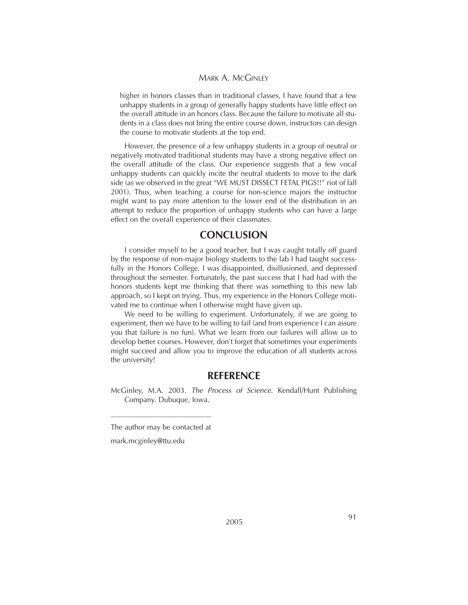higher in honors classes than in traditional classes, I have found that a few unhappy students in a group of generally happy students have little effect on the overall attitude in an honors class. Because the failure to motivate all students in a class does not bring the entire course down, instructors can design the course to motivate students at the top end.

However, the presence of a few unhappy students in a group of neutral or negatively motivated traditional students may have a strong negative effect on the overall attitude of the class. Our experience suggests that a few vocal unhappy students can quickly incite the neutral students to move to the dark side (as we observed in the great "WE MUST DISSECT FETAL PIGS!!" riot of fall 2001). Thus, when teaching a course for non-science majors the instructor might want to pay more attention to the lower end of the distribution in an attempt to reduce the proportion of unhappy students who can have a large effect on the overall experience of their classmates.

#### **CONCLUSION**

I consider myself to be a good teacher, but I was caught totally off guard by the response of non-major biology students to the lab I had taught successfully in the Honors College. I was disappointed, disillusioned, and depressed throughout the semester. Fortunately, the past success that I had had with the honors students kept me thinking that there was something to this new lab approach, so I kept on trying. Thus, my experience in the Honors College motivated me to continue when I otherwise might have given up.

We need to be willing to experiment. Unfortunately, if we are going to experiment, then we have to be willing to fail (and from experience I can assure you that failure is no fun). What we learn from our failures will allow us to develop better courses. However, don't forget that sometimes your experiments might succeed and allow you to improve the education of all students across the university!

#### **REFERENCE**

McGinley, M.A. 2003. *The Process of Science*. Kendall/Hunt Publishing Company. Dubuque, Iowa.

\_\_\_\_\_\_\_\_\_\_\_\_\_\_\_\_\_\_\_\_\_\_\_\_\_\_\_\_\_ The author may be contacted at

mark.mcginley@ttu.edu